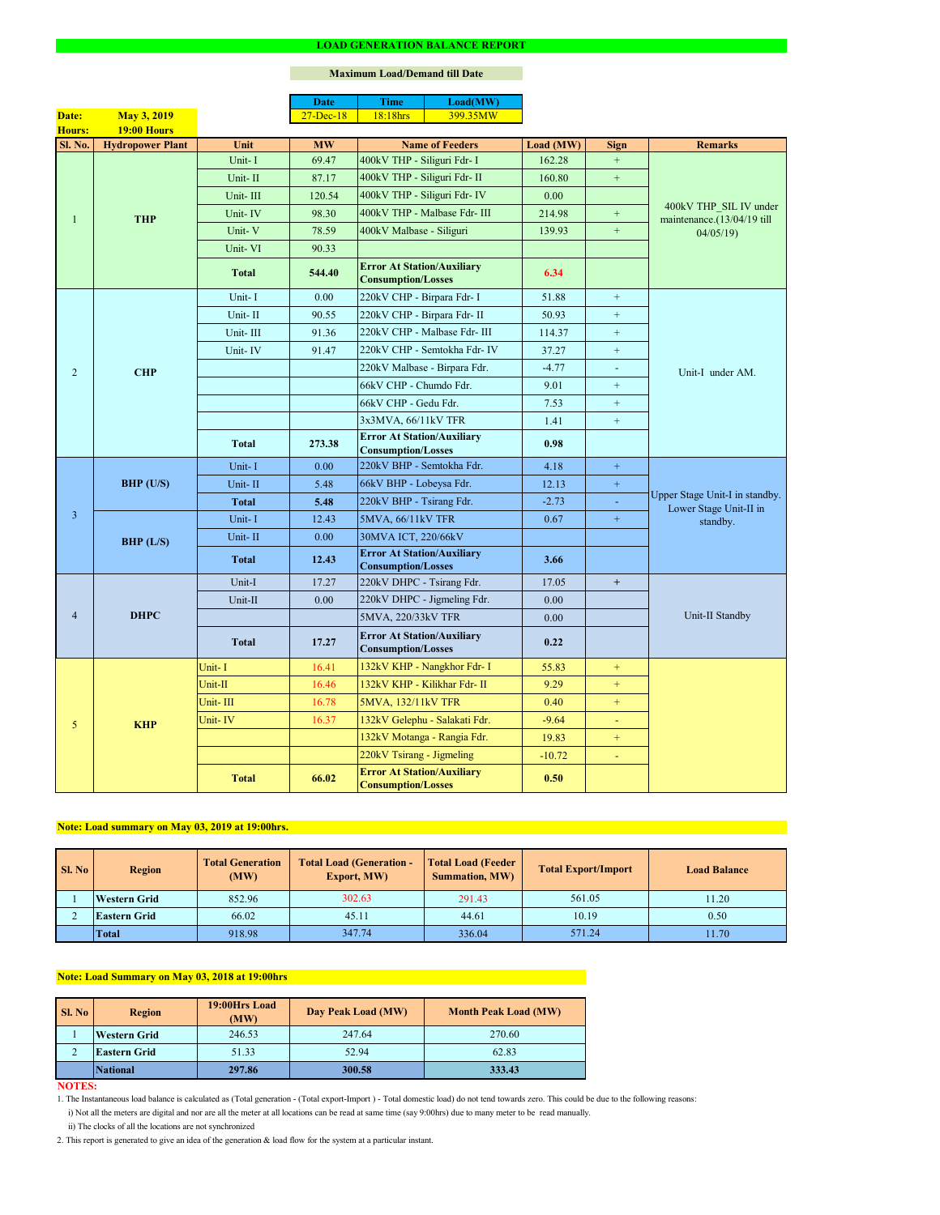### **NOTES:**

|                |                         |              | <b>Date</b>   | <b>Time</b>                                                    | Load(MW)                      |           |                |                                                                      |  |
|----------------|-------------------------|--------------|---------------|----------------------------------------------------------------|-------------------------------|-----------|----------------|----------------------------------------------------------------------|--|
| Date:          | <b>May 3, 2019</b>      |              | $27 - Dec-18$ | 18:18hrs                                                       | 399.35MW                      |           |                |                                                                      |  |
| Hours:         | 19:00 Hours             |              |               |                                                                |                               |           |                |                                                                      |  |
| Sl. No.        | <b>Hydropower Plant</b> | Unit         | <b>MW</b>     | <b>Name of Feeders</b>                                         |                               | Load (MW) | <b>Sign</b>    | <b>Remarks</b>                                                       |  |
|                |                         | Unit-I       | 69.47         | 400kV THP - Siliguri Fdr- I                                    |                               | 162.28    | $+$            |                                                                      |  |
|                |                         | Unit-II      | 87.17         | 400kV THP - Siliguri Fdr- II                                   |                               | 160.80    | $+$            |                                                                      |  |
|                |                         | Unit-III     | 120.54        |                                                                | 400kV THP - Siliguri Fdr- IV  | 0.00      |                | 400kV THP SIL IV under                                               |  |
| $\mathbf{1}$   | <b>THP</b>              | Unit-IV      | 98.30         |                                                                | 400kV THP - Malbase Fdr- III  | 214.98    | $\pm$          | maintenance.(13/04/19 till<br>04/05/19                               |  |
|                |                         | Unit-V       | 78.59         | 400kV Malbase - Siliguri                                       |                               | 139.93    | $\pm$          |                                                                      |  |
|                |                         | Unit-VI      | 90.33         |                                                                |                               |           |                |                                                                      |  |
|                |                         | <b>Total</b> | 544.40        | <b>Error At Station/Auxiliary</b><br><b>Consumption/Losses</b> |                               | 6.34      |                |                                                                      |  |
|                |                         | Unit-I       | 0.00          | 220kV CHP - Birpara Fdr- I                                     |                               | 51.88     | $+$            |                                                                      |  |
|                |                         | Unit-II      | 90.55         | 220kV CHP - Birpara Fdr- II                                    |                               | 50.93     | $+$            |                                                                      |  |
|                |                         | Unit-III     | 91.36         |                                                                | 220kV CHP - Malbase Fdr- III  | 114.37    | $+$            |                                                                      |  |
|                |                         | Unit-IV      | 91.47         |                                                                | 220kV CHP - Semtokha Fdr- IV  | 37.27     | $+$            |                                                                      |  |
| 2              | <b>CHP</b>              |              |               |                                                                | 220kV Malbase - Birpara Fdr.  | $-4.77$   | $\blacksquare$ | Unit-I under AM.                                                     |  |
|                |                         |              |               | 66kV CHP - Chumdo Fdr.                                         |                               | 9.01      | $+$            |                                                                      |  |
|                |                         |              |               | 66kV CHP - Gedu Fdr.                                           |                               | 7.53      | $+$            |                                                                      |  |
|                |                         |              |               | 3x3MVA, 66/11kV TFR                                            |                               | 1.41      | $+$            |                                                                      |  |
|                |                         | <b>Total</b> | 273.38        | <b>Error At Station/Auxiliary</b><br><b>Consumption/Losses</b> |                               | 0.98      |                |                                                                      |  |
|                | <b>BHP</b> (U/S)        | Unit-I       | 0.00          | 220kV BHP - Semtokha Fdr.                                      |                               | 4.18      | $\pm$          | Upper Stage Unit-I in standby.<br>Lower Stage Unit-II in<br>standby. |  |
|                |                         | Unit-II      | 5.48          | 66kV BHP - Lobeysa Fdr.                                        |                               | 12.13     | $\pm$          |                                                                      |  |
|                |                         | <b>Total</b> | 5.48          | 220kV BHP - Tsirang Fdr.                                       |                               | $-2.73$   |                |                                                                      |  |
| $\overline{3}$ |                         | Unit-I       | 12.43         | 5MVA, 66/11kV TFR                                              |                               | 0.67      | $\pm$          |                                                                      |  |
|                | BHP (L/S)               | Unit-II      | 0.00          | 30MVA ICT, 220/66kV                                            |                               |           |                |                                                                      |  |
|                |                         | <b>Total</b> | 12.43         | <b>Error At Station/Auxiliary</b><br><b>Consumption/Losses</b> |                               | 3.66      |                |                                                                      |  |
|                |                         | Unit-I       | 17.27         | 220kV DHPC - Tsirang Fdr.                                      |                               | 17.05     | $+$            |                                                                      |  |
|                | <b>DHPC</b>             | Unit-II      | 0.00          |                                                                | 220kV DHPC - Jigmeling Fdr.   | 0.00      |                |                                                                      |  |
| $\overline{4}$ |                         |              |               | 5MVA, 220/33kV TFR                                             |                               | 0.00      |                | Unit-II Standby                                                      |  |
|                |                         | <b>Total</b> | 17.27         | <b>Error At Station/Auxiliary</b><br><b>Consumption/Losses</b> |                               | 0.22      |                |                                                                      |  |
|                |                         | Unit-I       | 16.41         |                                                                | 132kV KHP - Nangkhor Fdr- I   | 55.83     | $+$            |                                                                      |  |
|                |                         | Unit-II      | 16.46         |                                                                | 132kV KHP - Kilikhar Fdr- II  | 9.29      | $+$            |                                                                      |  |
|                |                         | Unit-III     | 16.78         | 5MVA, 132/11kV TFR                                             |                               | 0.40      | $+$            |                                                                      |  |
| 5              | <b>KHP</b>              | Unit-IV      | 16.37         |                                                                | 132kV Gelephu - Salakati Fdr. | $-9.64$   |                |                                                                      |  |
|                |                         |              |               |                                                                | 132kV Motanga - Rangia Fdr.   | 19.83     | $+$            |                                                                      |  |
|                |                         |              |               | 220kV Tsirang - Jigmeling                                      |                               | $-10.72$  | $\blacksquare$ |                                                                      |  |
|                |                         | <b>Total</b> | 66.02         | <b>Error At Station/Auxiliary</b><br><b>Consumption/Losses</b> |                               | 0.50      |                |                                                                      |  |

### **LOAD GENERATION BALANCE REPORT**

| Sl. No | <b>Total Generation</b><br><b>Region</b><br>(MW) |        | <b>Total Load (Generation -</b><br><b>Export, MW)</b> | <b>Total Load (Feeder)</b><br><b>Summation, MW)</b> | <b>Total Export/Import</b> | <b>Load Balance</b> |
|--------|--------------------------------------------------|--------|-------------------------------------------------------|-----------------------------------------------------|----------------------------|---------------------|
|        | Western Grid                                     | 852.96 | 302.63                                                | 291.43                                              | 561.05                     | 11.20               |
|        | 66.02<br><b>Eastern Grid</b>                     |        | 45.11                                                 | 44.61                                               | 10.19                      | 0.50                |
|        | <b>Total</b>                                     | 918.98 | 347.74                                                | 336.04                                              | 571.24                     | 11.70               |

| SI. No | <b>Region</b>       | 19:00Hrs Load<br>(MW) | Day Peak Load (MW) | <b>Month Peak Load (MW)</b> |  |
|--------|---------------------|-----------------------|--------------------|-----------------------------|--|
|        | <b>Western Grid</b> | 246.53                | 247.64             | 270.60                      |  |
|        | <b>Eastern Grid</b> | 51.33                 | 52.94              | 62.83                       |  |
|        | <b>National</b>     | 297.86                | 300.58             | 333.43                      |  |

i) Not all the meters are digital and nor are all the meter at all locations can be read at same time (say 9:00hrs) due to many meter to be read manually.

# **Note: Load Summary on May 03, 2018 at 19:00hrs**

1. The Instantaneous load balance is calculated as (Total generation - (Total export-Import ) - Total domestic load) do not tend towards zero. This could be due to the following reasons:

# **Note: Load summary on May 03, 2019 at 19:00hrs.**

2. This report is generated to give an idea of the generation & load flow for the system at a particular instant.

## **Maximum Load/Demand till Date**

ii) The clocks of all the locations are not synchronized